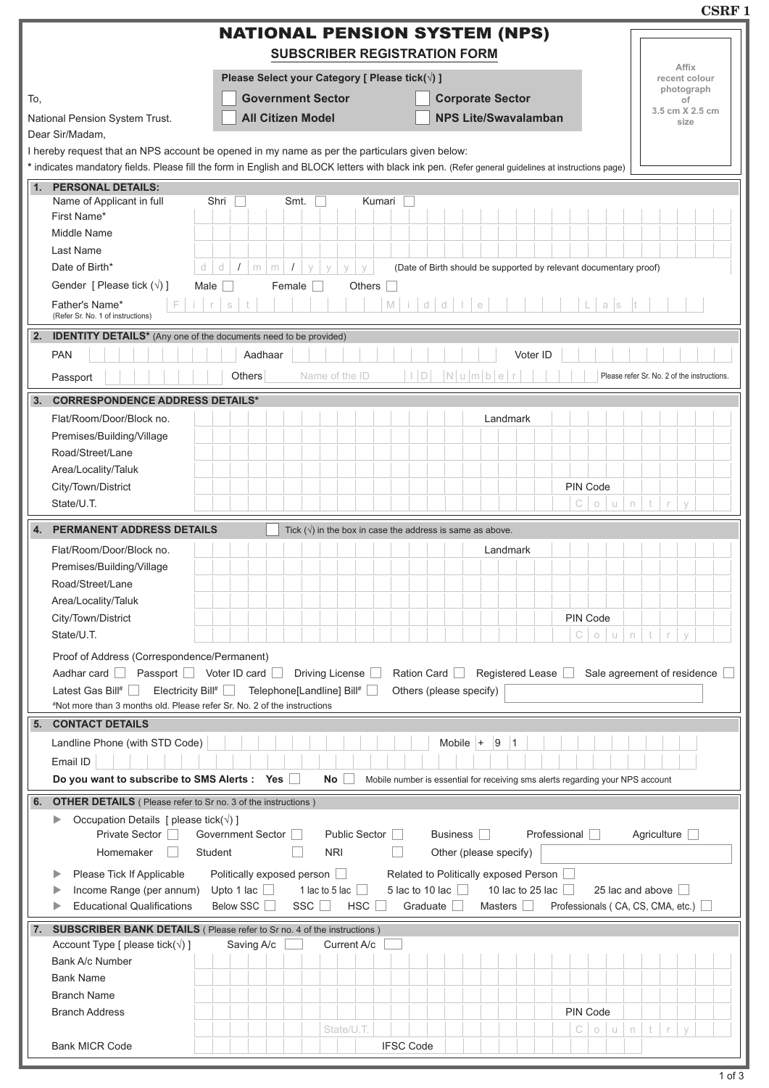|                                                                                                                                        |                                                                                                                              |                                                                                                                                                     | USKF)                                       |  |  |  |  |  |
|----------------------------------------------------------------------------------------------------------------------------------------|------------------------------------------------------------------------------------------------------------------------------|-----------------------------------------------------------------------------------------------------------------------------------------------------|---------------------------------------------|--|--|--|--|--|
|                                                                                                                                        |                                                                                                                              | <b>NATIONAL PENSION SYSTEM (NPS)</b><br><b>SUBSCRIBER REGISTRATION FORM</b>                                                                         |                                             |  |  |  |  |  |
|                                                                                                                                        | Affix<br>recent colour                                                                                                       |                                                                                                                                                     |                                             |  |  |  |  |  |
| To,                                                                                                                                    | <b>Government Sector</b>                                                                                                     | <b>Corporate Sector</b>                                                                                                                             | photograph<br>of                            |  |  |  |  |  |
| National Pension System Trust.                                                                                                         | <b>All Citizen Model</b>                                                                                                     | <b>NPS Lite/Swavalamban</b>                                                                                                                         | 3.5 cm X 2.5 cm<br>size                     |  |  |  |  |  |
| Dear Sir/Madam,                                                                                                                        |                                                                                                                              |                                                                                                                                                     |                                             |  |  |  |  |  |
| I hereby request that an NPS account be opened in my name as per the particulars given below:                                          |                                                                                                                              |                                                                                                                                                     |                                             |  |  |  |  |  |
|                                                                                                                                        |                                                                                                                              | * indicates mandatory fields. Please fill the form in English and BLOCK letters with black ink pen. (Refer general guidelines at instructions page) |                                             |  |  |  |  |  |
| <b>PERSONAL DETAILS:</b><br>1.<br>Name of Applicant in full                                                                            | Shri<br>Smt.                                                                                                                 | Kumari                                                                                                                                              |                                             |  |  |  |  |  |
| First Name*                                                                                                                            |                                                                                                                              |                                                                                                                                                     |                                             |  |  |  |  |  |
| Middle Name                                                                                                                            |                                                                                                                              |                                                                                                                                                     |                                             |  |  |  |  |  |
| Last Name                                                                                                                              |                                                                                                                              |                                                                                                                                                     |                                             |  |  |  |  |  |
| Date of Birth*<br>d                                                                                                                    | d<br>$\prime$<br>m<br>m<br>$\prime$<br>$\vee$<br>$\vee$<br>(Date of Birth should be supported by relevant documentary proof) |                                                                                                                                                     |                                             |  |  |  |  |  |
| Gender [ Please tick $(\sqrt{})$ ]                                                                                                     | Male $\Box$<br>Female $\Box$                                                                                                 | Others                                                                                                                                              |                                             |  |  |  |  |  |
| F<br>$i + r$<br>Father's Name*<br>(Refer Sr. No. 1 of instructions)                                                                    | $\mathbb S$                                                                                                                  | $M$ $i$ $d$ $d$ $l$<br>$a$ s<br>$\in$                                                                                                               |                                             |  |  |  |  |  |
| 2.<br><b>IDENTITY DETAILS*</b> (Any one of the documents need to be provided)                                                          |                                                                                                                              |                                                                                                                                                     |                                             |  |  |  |  |  |
| <b>PAN</b>                                                                                                                             | Aadhaar                                                                                                                      | Voter ID                                                                                                                                            |                                             |  |  |  |  |  |
| Passport                                                                                                                               | Name of the ID<br>Others                                                                                                     | $ I D $ $ N u m b e r $                                                                                                                             | Please refer Sr. No. 2 of the instructions. |  |  |  |  |  |
|                                                                                                                                        |                                                                                                                              |                                                                                                                                                     |                                             |  |  |  |  |  |
| <b>CORRESPONDENCE ADDRESS DETAILS*</b><br>3.<br>Flat/Room/Door/Block no.                                                               |                                                                                                                              |                                                                                                                                                     |                                             |  |  |  |  |  |
| Premises/Building/Village                                                                                                              |                                                                                                                              | Landmark                                                                                                                                            |                                             |  |  |  |  |  |
| Road/Street/Lane                                                                                                                       |                                                                                                                              |                                                                                                                                                     |                                             |  |  |  |  |  |
| Area/Locality/Taluk                                                                                                                    |                                                                                                                              |                                                                                                                                                     |                                             |  |  |  |  |  |
| City/Town/District                                                                                                                     |                                                                                                                              | PIN Code                                                                                                                                            |                                             |  |  |  |  |  |
| State/U.T.                                                                                                                             |                                                                                                                              | $\mathbb{C}$<br>o u n                                                                                                                               | $^\uparrow$<br>$\mathcal{L}$<br>$\vee$      |  |  |  |  |  |
| <b>PERMANENT ADDRESS DETAILS</b><br>4.                                                                                                 |                                                                                                                              | Tick $(\sqrt{ } )$ in the box in case the address is same as above.                                                                                 |                                             |  |  |  |  |  |
| Flat/Room/Door/Block no.                                                                                                               |                                                                                                                              | Landmark                                                                                                                                            |                                             |  |  |  |  |  |
| Premises/Building/Village                                                                                                              |                                                                                                                              |                                                                                                                                                     |                                             |  |  |  |  |  |
| Road/Street/Lane                                                                                                                       |                                                                                                                              |                                                                                                                                                     |                                             |  |  |  |  |  |
| Area/Locality/Taluk                                                                                                                    |                                                                                                                              |                                                                                                                                                     |                                             |  |  |  |  |  |
| City/Town/District                                                                                                                     |                                                                                                                              | PIN Code                                                                                                                                            |                                             |  |  |  |  |  |
| State/U.T.                                                                                                                             |                                                                                                                              | $\mathbb C$<br>$\circlearrowright$<br>$u \mid n$                                                                                                    | t<br>$\Gamma$<br>$\vee$                     |  |  |  |  |  |
| Proof of Address (Correspondence/Permanent)                                                                                            |                                                                                                                              |                                                                                                                                                     |                                             |  |  |  |  |  |
| Aadhar card                                                                                                                            | Passport Voter ID card Driving License                                                                                       | Ration Card<br>Registered Lease                                                                                                                     | Sale agreement of residence                 |  |  |  |  |  |
| Latest Gas Bill# $\Box$<br>#Not more than 3 months old. Please refer Sr. No. 2 of the instructions                                     | Electricity Bill# □ Telephone[Landline] Bill# □                                                                              | Others (please specify)                                                                                                                             |                                             |  |  |  |  |  |
| <b>CONTACT DETAILS</b><br>5.                                                                                                           |                                                                                                                              |                                                                                                                                                     |                                             |  |  |  |  |  |
| Landline Phone (with STD Code)                                                                                                         |                                                                                                                              | Mobile $+$ 9<br>$\vert$ 1                                                                                                                           |                                             |  |  |  |  |  |
| Email ID                                                                                                                               |                                                                                                                              |                                                                                                                                                     |                                             |  |  |  |  |  |
| Do you want to subscribe to SMS Alerts : Yes                                                                                           | <b>No</b>                                                                                                                    | Mobile number is essential for receiving sms alerts regarding your NPS account                                                                      |                                             |  |  |  |  |  |
| <b>OTHER DETAILS</b> ( Please refer to Sr no. 3 of the instructions )<br>6.                                                            |                                                                                                                              |                                                                                                                                                     |                                             |  |  |  |  |  |
| Occupation Details [ please tick( $\sqrt{}$ ) ]                                                                                        |                                                                                                                              |                                                                                                                                                     |                                             |  |  |  |  |  |
| Private Sector                                                                                                                         | Government Sector                                                                                                            | Public Sector    <br>Business    <br>Professional                                                                                                   | Agriculture $\square$                       |  |  |  |  |  |
| Homemaker                                                                                                                              | <b>NRI</b><br>Student                                                                                                        | Other (please specify)                                                                                                                              |                                             |  |  |  |  |  |
| Please Tick If Applicable                                                                                                              | Politically exposed person                                                                                                   | Related to Politically exposed Person                                                                                                               |                                             |  |  |  |  |  |
| Income Range (per annum)                                                                                                               | 1 lac to 5 lac $\Box$<br>Upto 1 lac $\Box$                                                                                   | 5 lac to 10 lac $\Box$<br>10 lac to 25 lac $\Box$                                                                                                   | 25 lac and above                            |  |  |  |  |  |
| <b>Educational Qualifications</b><br>Below SSC<br>SSC    <br>HSC<br>Graduate<br>Masters $\Box$<br>Professionals ( CA, CS, CMA, etc.) □ |                                                                                                                              |                                                                                                                                                     |                                             |  |  |  |  |  |
| 7. SUBSCRIBER BANK DETAILS (Please refer to Sr no. 4 of the instructions)                                                              |                                                                                                                              |                                                                                                                                                     |                                             |  |  |  |  |  |
| Account Type [ please tick( $\sqrt{ }$ ) ]                                                                                             | Saving A/c                                                                                                                   | Current A/c                                                                                                                                         |                                             |  |  |  |  |  |
| Bank A/c Number                                                                                                                        |                                                                                                                              |                                                                                                                                                     |                                             |  |  |  |  |  |
| <b>Bank Name</b><br><b>Branch Name</b>                                                                                                 |                                                                                                                              |                                                                                                                                                     |                                             |  |  |  |  |  |
| <b>Branch Address</b>                                                                                                                  |                                                                                                                              | PIN Code                                                                                                                                            |                                             |  |  |  |  |  |
|                                                                                                                                        | State/U.T.                                                                                                                   | С<br>$\sqcup$<br>$\bigcirc$                                                                                                                         | $^\dagger$<br>n<br>$\vee$<br>$\Gamma$       |  |  |  |  |  |
| <b>Bank MICR Code</b>                                                                                                                  |                                                                                                                              | <b>IFSC Code</b>                                                                                                                                    |                                             |  |  |  |  |  |
|                                                                                                                                        |                                                                                                                              |                                                                                                                                                     |                                             |  |  |  |  |  |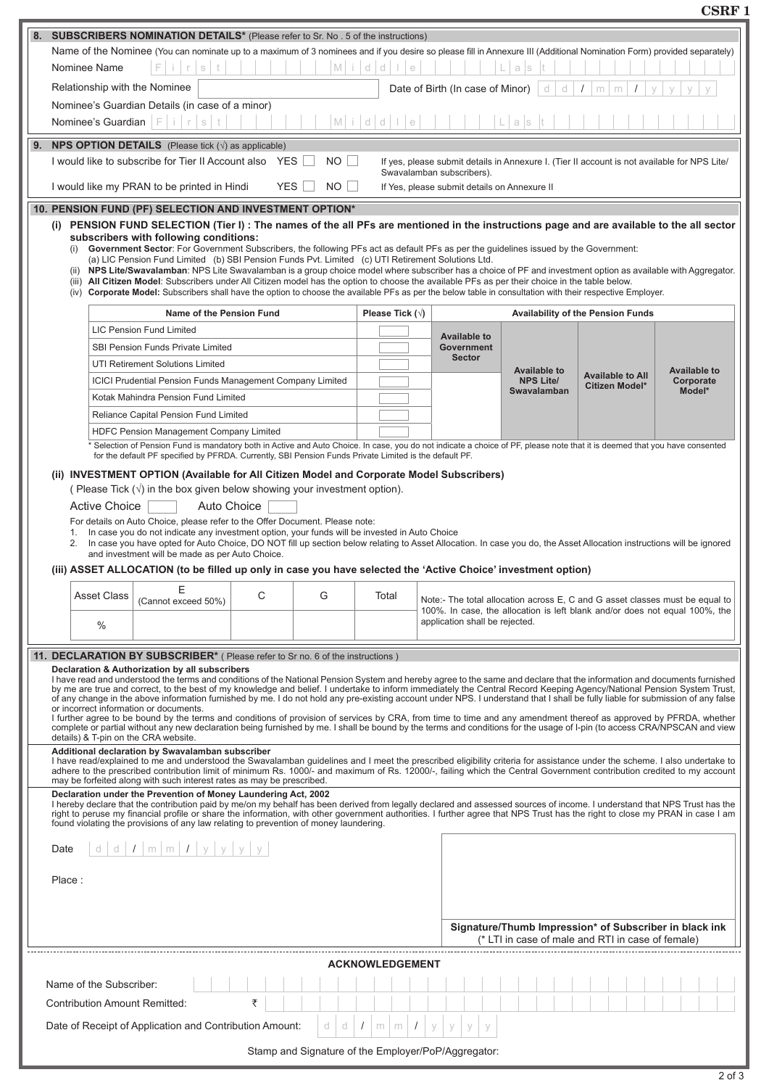**CSRF 1**

| <b>SUBSCRIBERS NOMINATION DETAILS*</b> (Please refer to Sr. No. 5 of the instructions)<br>8.<br>Name of the Nominee (You can nominate up to a maximum of 3 nominees and if you desire so please fill in Annexure III (Additional Nomination Form) provided separately)<br>Middlle<br>Nominee Name<br>a s<br>S<br>Relationship with the Nominee<br>Date of Birth (In case of Minor)<br>d<br>d<br>m<br>m<br>Nominee's Guardian Details (in case of a minor)<br>Nominee's Guardian $ F $ i $ r s $<br>$M$ idd $1$<br>$\ominus$<br>a s<br>9.<br><b>NPS OPTION DETAILS</b> (Please tick $(\sqrt{})$ ) as applicable)<br>I would like to subscribe for Tier II Account also YES  <br>$NO$    <br>If yes, please submit details in Annexure I. (Tier II account is not available for NPS Lite/<br>Swavalamban subscribers).<br>I would like my PRAN to be printed in Hindi<br>YES    <br>$NO$ $\Box$<br>If Yes, please submit details on Annexure II<br>10. PENSION FUND (PF) SELECTION AND INVESTMENT OPTION*<br>(i) PENSION FUND SELECTION (Tier I): The names of the all PFs are mentioned in the instructions page and are available to the all sector<br>subscribers with following conditions: |                                                                                                                                                                                                                            |  |  |  |  |  |  |  |  |  |  |
|-----------------------------------------------------------------------------------------------------------------------------------------------------------------------------------------------------------------------------------------------------------------------------------------------------------------------------------------------------------------------------------------------------------------------------------------------------------------------------------------------------------------------------------------------------------------------------------------------------------------------------------------------------------------------------------------------------------------------------------------------------------------------------------------------------------------------------------------------------------------------------------------------------------------------------------------------------------------------------------------------------------------------------------------------------------------------------------------------------------------------------------------------------------------------------------------------|----------------------------------------------------------------------------------------------------------------------------------------------------------------------------------------------------------------------------|--|--|--|--|--|--|--|--|--|--|
|                                                                                                                                                                                                                                                                                                                                                                                                                                                                                                                                                                                                                                                                                                                                                                                                                                                                                                                                                                                                                                                                                                                                                                                               |                                                                                                                                                                                                                            |  |  |  |  |  |  |  |  |  |  |
|                                                                                                                                                                                                                                                                                                                                                                                                                                                                                                                                                                                                                                                                                                                                                                                                                                                                                                                                                                                                                                                                                                                                                                                               |                                                                                                                                                                                                                            |  |  |  |  |  |  |  |  |  |  |
|                                                                                                                                                                                                                                                                                                                                                                                                                                                                                                                                                                                                                                                                                                                                                                                                                                                                                                                                                                                                                                                                                                                                                                                               |                                                                                                                                                                                                                            |  |  |  |  |  |  |  |  |  |  |
|                                                                                                                                                                                                                                                                                                                                                                                                                                                                                                                                                                                                                                                                                                                                                                                                                                                                                                                                                                                                                                                                                                                                                                                               |                                                                                                                                                                                                                            |  |  |  |  |  |  |  |  |  |  |
|                                                                                                                                                                                                                                                                                                                                                                                                                                                                                                                                                                                                                                                                                                                                                                                                                                                                                                                                                                                                                                                                                                                                                                                               |                                                                                                                                                                                                                            |  |  |  |  |  |  |  |  |  |  |
|                                                                                                                                                                                                                                                                                                                                                                                                                                                                                                                                                                                                                                                                                                                                                                                                                                                                                                                                                                                                                                                                                                                                                                                               |                                                                                                                                                                                                                            |  |  |  |  |  |  |  |  |  |  |
|                                                                                                                                                                                                                                                                                                                                                                                                                                                                                                                                                                                                                                                                                                                                                                                                                                                                                                                                                                                                                                                                                                                                                                                               |                                                                                                                                                                                                                            |  |  |  |  |  |  |  |  |  |  |
|                                                                                                                                                                                                                                                                                                                                                                                                                                                                                                                                                                                                                                                                                                                                                                                                                                                                                                                                                                                                                                                                                                                                                                                               |                                                                                                                                                                                                                            |  |  |  |  |  |  |  |  |  |  |
|                                                                                                                                                                                                                                                                                                                                                                                                                                                                                                                                                                                                                                                                                                                                                                                                                                                                                                                                                                                                                                                                                                                                                                                               |                                                                                                                                                                                                                            |  |  |  |  |  |  |  |  |  |  |
|                                                                                                                                                                                                                                                                                                                                                                                                                                                                                                                                                                                                                                                                                                                                                                                                                                                                                                                                                                                                                                                                                                                                                                                               |                                                                                                                                                                                                                            |  |  |  |  |  |  |  |  |  |  |
|                                                                                                                                                                                                                                                                                                                                                                                                                                                                                                                                                                                                                                                                                                                                                                                                                                                                                                                                                                                                                                                                                                                                                                                               |                                                                                                                                                                                                                            |  |  |  |  |  |  |  |  |  |  |
|                                                                                                                                                                                                                                                                                                                                                                                                                                                                                                                                                                                                                                                                                                                                                                                                                                                                                                                                                                                                                                                                                                                                                                                               |                                                                                                                                                                                                                            |  |  |  |  |  |  |  |  |  |  |
| (i) Government Sector: For Government Subscribers, the following PFs act as default PFs as per the guidelines issued by the Government:<br>(a) LIC Pension Fund Limited (b) SBI Pension Funds Pvt. Limited (c) UTI Retirement Solutions Ltd.<br>(ii) NPS Lite/Swavalamban: NPS Lite Swavalamban is a group choice model where subscriber has a choice of PF and investment option as available with Aggregator.<br>(iii) All Citizen Model: Subscribers under All Citizen model has the option to choose the available PFs as per their choice in the table below.<br>(iv) Corporate Model: Subscribers shall have the option to choose the available PFs as per the below table in consultation with their respective Employer.                                                                                                                                                                                                                                                                                                                                                                                                                                                              |                                                                                                                                                                                                                            |  |  |  |  |  |  |  |  |  |  |
| Please Tick $(\sqrt{})$<br>Name of the Pension Fund<br><b>Availability of the Pension Funds</b>                                                                                                                                                                                                                                                                                                                                                                                                                                                                                                                                                                                                                                                                                                                                                                                                                                                                                                                                                                                                                                                                                               |                                                                                                                                                                                                                            |  |  |  |  |  |  |  |  |  |  |
| <b>LIC Pension Fund Limited</b>                                                                                                                                                                                                                                                                                                                                                                                                                                                                                                                                                                                                                                                                                                                                                                                                                                                                                                                                                                                                                                                                                                                                                               |                                                                                                                                                                                                                            |  |  |  |  |  |  |  |  |  |  |
| <b>Available to</b><br>SBI Pension Funds Private Limited<br><b>Government</b>                                                                                                                                                                                                                                                                                                                                                                                                                                                                                                                                                                                                                                                                                                                                                                                                                                                                                                                                                                                                                                                                                                                 |                                                                                                                                                                                                                            |  |  |  |  |  |  |  |  |  |  |
| <b>Sector</b><br>UTI Retirement Solutions Limited                                                                                                                                                                                                                                                                                                                                                                                                                                                                                                                                                                                                                                                                                                                                                                                                                                                                                                                                                                                                                                                                                                                                             |                                                                                                                                                                                                                            |  |  |  |  |  |  |  |  |  |  |
| <b>Available to</b><br><b>Available to All</b><br><b>NPS Lite/</b><br><b>ICICI Prudential Pension Funds Management Company Limited</b>                                                                                                                                                                                                                                                                                                                                                                                                                                                                                                                                                                                                                                                                                                                                                                                                                                                                                                                                                                                                                                                        | <b>Available to</b><br>Corporate                                                                                                                                                                                           |  |  |  |  |  |  |  |  |  |  |
| Citizen Model*<br>Swavalamban<br>Kotak Mahindra Pension Fund Limited                                                                                                                                                                                                                                                                                                                                                                                                                                                                                                                                                                                                                                                                                                                                                                                                                                                                                                                                                                                                                                                                                                                          | Model*                                                                                                                                                                                                                     |  |  |  |  |  |  |  |  |  |  |
| Reliance Capital Pension Fund Limited                                                                                                                                                                                                                                                                                                                                                                                                                                                                                                                                                                                                                                                                                                                                                                                                                                                                                                                                                                                                                                                                                                                                                         |                                                                                                                                                                                                                            |  |  |  |  |  |  |  |  |  |  |
| HDFC Pension Management Company Limited                                                                                                                                                                                                                                                                                                                                                                                                                                                                                                                                                                                                                                                                                                                                                                                                                                                                                                                                                                                                                                                                                                                                                       |                                                                                                                                                                                                                            |  |  |  |  |  |  |  |  |  |  |
| * Selection of Pension Fund is mandatory both in Active and Auto Choice. In case, you do not indicate a choice of PF, please note that it is deemed that you have consented                                                                                                                                                                                                                                                                                                                                                                                                                                                                                                                                                                                                                                                                                                                                                                                                                                                                                                                                                                                                                   |                                                                                                                                                                                                                            |  |  |  |  |  |  |  |  |  |  |
| (iii) ASSET ALLOCATION (to be filled up only in case you have selected the 'Active Choice' investment option)<br>Ε<br>С<br>G<br><b>Asset Class</b><br>Total                                                                                                                                                                                                                                                                                                                                                                                                                                                                                                                                                                                                                                                                                                                                                                                                                                                                                                                                                                                                                                   | 2. In case you have opted for Auto Choice, DO NOT fill up section below relating to Asset Allocation. In case you do, the Asset Allocation instructions will be ignored<br>and investment will be made as per Auto Choice. |  |  |  |  |  |  |  |  |  |  |
| Note:- The total allocation across E, C and G asset classes must be equal to<br>(Cannot exceed 50%)<br>100%. In case, the allocation is left blank and/or does not equal 100%, the<br>application shall be rejected.<br>$\%$                                                                                                                                                                                                                                                                                                                                                                                                                                                                                                                                                                                                                                                                                                                                                                                                                                                                                                                                                                  |                                                                                                                                                                                                                            |  |  |  |  |  |  |  |  |  |  |
|                                                                                                                                                                                                                                                                                                                                                                                                                                                                                                                                                                                                                                                                                                                                                                                                                                                                                                                                                                                                                                                                                                                                                                                               |                                                                                                                                                                                                                            |  |  |  |  |  |  |  |  |  |  |
| 11. DECLARATION BY SUBSCRIBER <sup>*</sup> (Please refer to Sr no. 6 of the instructions)<br>Declaration & Authorization by all subscribers                                                                                                                                                                                                                                                                                                                                                                                                                                                                                                                                                                                                                                                                                                                                                                                                                                                                                                                                                                                                                                                   |                                                                                                                                                                                                                            |  |  |  |  |  |  |  |  |  |  |
| I have read and understood the terms and conditions of the National Pension System and hereby agree to the same and declare that the information and documents furnished<br>by me are true and correct, to the best of my knowledge and belief. I undertake to inform immediately the Central Record Keeping Agency/National Pension System Trust,                                                                                                                                                                                                                                                                                                                                                                                                                                                                                                                                                                                                                                                                                                                                                                                                                                            |                                                                                                                                                                                                                            |  |  |  |  |  |  |  |  |  |  |
| of any change in the above information furnished by me. I do not hold any pre-existing account under NPS. I understand that I shall be fully liable for submission of any false<br>or incorrect information or documents.<br>I further agree to be bound by the terms and conditions of provision of services by CRA, from time to time and any amendment thereof as approved by PFRDA, whether<br>complete or partial without any new declaration being furnished by me. I shall be bound by the terms and conditions for the usage of I-pin (to access CRA/NPSCAN and view<br>details) & T-pin on the CRA website.<br>Additional declaration by Swavalamban subscriber<br>I have read/explained to me and understood the Swavalamban guidelines and I meet the prescribed eligibility criteria for assistance under the scheme. I also undertake to<br>adhere to the prescribed contribution limit of minimum Rs. 1000/- and maximum of Rs. 12000/-, failing which the Central Government contribution credited to my account                                                                                                                                                               |                                                                                                                                                                                                                            |  |  |  |  |  |  |  |  |  |  |
| may be forfeited along with such interest rates as may be prescribed.<br>Declaration under the Prevention of Money Laundering Act, 2002<br>I hereby declare that the contribution paid by me/on my behalf has been derived from legally declared and assessed sources of income. I understand that NPS Trust has the<br>right to peruse my financial profile or share the information, with other government authorities. I further agree that NPS Trust has the right to close my PRAN in case I am<br>found violating the provisions of any law relating to prevention of money laundering.                                                                                                                                                                                                                                                                                                                                                                                                                                                                                                                                                                                                 |                                                                                                                                                                                                                            |  |  |  |  |  |  |  |  |  |  |
| d d $I$ m m $I$ y y y y<br>Date                                                                                                                                                                                                                                                                                                                                                                                                                                                                                                                                                                                                                                                                                                                                                                                                                                                                                                                                                                                                                                                                                                                                                               |                                                                                                                                                                                                                            |  |  |  |  |  |  |  |  |  |  |
| Place:                                                                                                                                                                                                                                                                                                                                                                                                                                                                                                                                                                                                                                                                                                                                                                                                                                                                                                                                                                                                                                                                                                                                                                                        |                                                                                                                                                                                                                            |  |  |  |  |  |  |  |  |  |  |
| Signature/Thumb Impression* of Subscriber in black ink<br>(* LTI in case of male and RTI in case of female)                                                                                                                                                                                                                                                                                                                                                                                                                                                                                                                                                                                                                                                                                                                                                                                                                                                                                                                                                                                                                                                                                   |                                                                                                                                                                                                                            |  |  |  |  |  |  |  |  |  |  |
|                                                                                                                                                                                                                                                                                                                                                                                                                                                                                                                                                                                                                                                                                                                                                                                                                                                                                                                                                                                                                                                                                                                                                                                               |                                                                                                                                                                                                                            |  |  |  |  |  |  |  |  |  |  |
| <b>ACKNOWLEDGEMENT</b>                                                                                                                                                                                                                                                                                                                                                                                                                                                                                                                                                                                                                                                                                                                                                                                                                                                                                                                                                                                                                                                                                                                                                                        |                                                                                                                                                                                                                            |  |  |  |  |  |  |  |  |  |  |
| Name of the Subscriber:                                                                                                                                                                                                                                                                                                                                                                                                                                                                                                                                                                                                                                                                                                                                                                                                                                                                                                                                                                                                                                                                                                                                                                       |                                                                                                                                                                                                                            |  |  |  |  |  |  |  |  |  |  |
| ₹<br><b>Contribution Amount Remitted:</b>                                                                                                                                                                                                                                                                                                                                                                                                                                                                                                                                                                                                                                                                                                                                                                                                                                                                                                                                                                                                                                                                                                                                                     |                                                                                                                                                                                                                            |  |  |  |  |  |  |  |  |  |  |
| Date of Receipt of Application and Contribution Amount:<br>d<br>d<br>y<br>$m \mid m$<br>$\sqrt{2}$<br>V<br>$\prime$<br>$\vee$                                                                                                                                                                                                                                                                                                                                                                                                                                                                                                                                                                                                                                                                                                                                                                                                                                                                                                                                                                                                                                                                 |                                                                                                                                                                                                                            |  |  |  |  |  |  |  |  |  |  |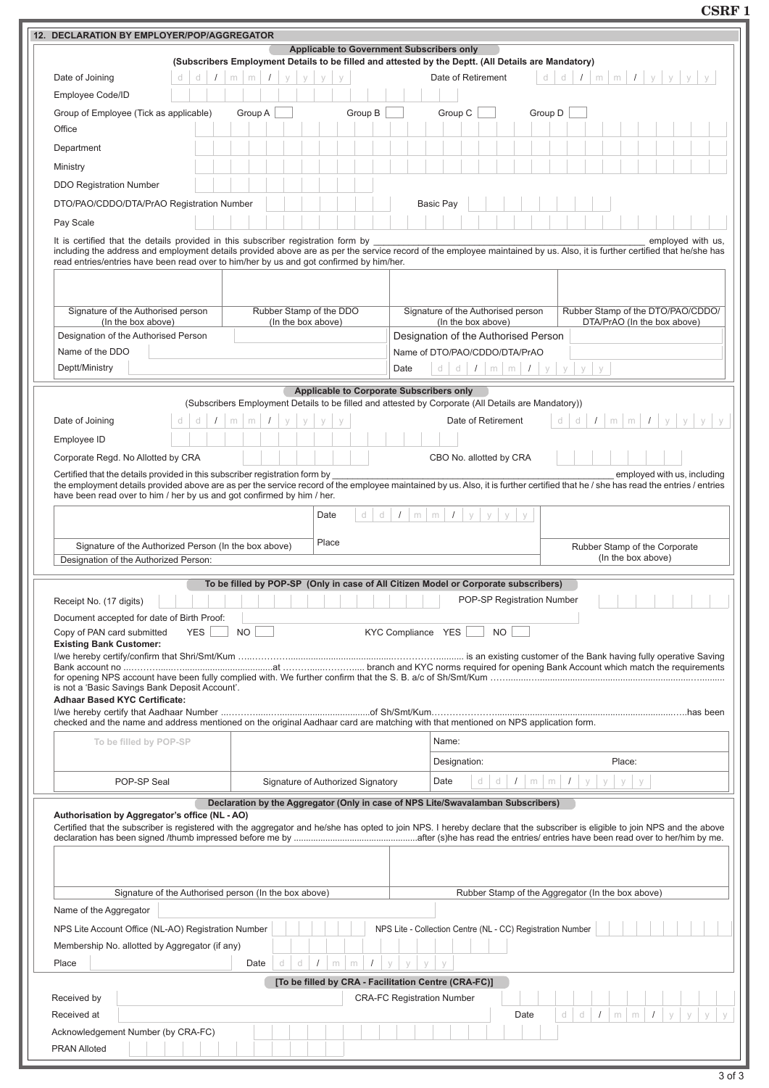**CSRF 1**

| 12. DECLARATION BY EMPLOYER/POP/AGGREGATOR                                                                                                              |                                                                                                                                                                                                                                            |  |  |  |  |  |  |  |
|---------------------------------------------------------------------------------------------------------------------------------------------------------|--------------------------------------------------------------------------------------------------------------------------------------------------------------------------------------------------------------------------------------------|--|--|--|--|--|--|--|
| <b>Applicable to Government Subscribers only</b><br>(Subscribers Employment Details to be filled and attested by the Deptt. (All Details are Mandatory) |                                                                                                                                                                                                                                            |  |  |  |  |  |  |  |
| Date of Joining<br>d<br>d<br>$\sqrt{ }$<br>$m \mid m \mid I$<br>V<br>V<br>V<br>V                                                                        | Date of Retirement<br>d<br>d<br>$I \mid m \mid m \mid I \mid y \mid y \mid y \mid y$                                                                                                                                                       |  |  |  |  |  |  |  |
| Employee Code/ID                                                                                                                                        |                                                                                                                                                                                                                                            |  |  |  |  |  |  |  |
| Group B<br>Group A<br>Group of Employee (Tick as applicable)                                                                                            | Group C<br>Group D                                                                                                                                                                                                                         |  |  |  |  |  |  |  |
| Office                                                                                                                                                  |                                                                                                                                                                                                                                            |  |  |  |  |  |  |  |
|                                                                                                                                                         |                                                                                                                                                                                                                                            |  |  |  |  |  |  |  |
| Department                                                                                                                                              |                                                                                                                                                                                                                                            |  |  |  |  |  |  |  |
| Ministry                                                                                                                                                |                                                                                                                                                                                                                                            |  |  |  |  |  |  |  |
| <b>DDO Registration Number</b>                                                                                                                          |                                                                                                                                                                                                                                            |  |  |  |  |  |  |  |
| DTO/PAO/CDDO/DTA/PrAO Registration Number                                                                                                               | <b>Basic Pay</b>                                                                                                                                                                                                                           |  |  |  |  |  |  |  |
| Pay Scale                                                                                                                                               |                                                                                                                                                                                                                                            |  |  |  |  |  |  |  |
| It is certified that the details provided in this subscriber registration form by                                                                       | employed with us.                                                                                                                                                                                                                          |  |  |  |  |  |  |  |
|                                                                                                                                                         | including the address and employment details provided above are as per the service record of the employee maintained by us. Also, it is further certified that he/she has                                                                  |  |  |  |  |  |  |  |
| read entries/entries have been read over to him/her by us and got confirmed by him/her.                                                                 |                                                                                                                                                                                                                                            |  |  |  |  |  |  |  |
|                                                                                                                                                         |                                                                                                                                                                                                                                            |  |  |  |  |  |  |  |
|                                                                                                                                                         |                                                                                                                                                                                                                                            |  |  |  |  |  |  |  |
| Signature of the Authorised person<br>Rubber Stamp of the DDO<br>(In the box above)<br>(In the box above)                                               | Signature of the Authorised person<br>Rubber Stamp of the DTO/PAO/CDDO/<br>(In the box above)<br>DTA/PrAO (In the box above)                                                                                                               |  |  |  |  |  |  |  |
| Designation of the Authorised Person                                                                                                                    | Designation of the Authorised Person                                                                                                                                                                                                       |  |  |  |  |  |  |  |
| Name of the DDO                                                                                                                                         | Name of DTO/PAO/CDDO/DTA/PrAO                                                                                                                                                                                                              |  |  |  |  |  |  |  |
| Deptt/Ministry                                                                                                                                          | d d $I$ m m $I$ y y<br>y<br>Date                                                                                                                                                                                                           |  |  |  |  |  |  |  |
|                                                                                                                                                         |                                                                                                                                                                                                                                            |  |  |  |  |  |  |  |
|                                                                                                                                                         | Applicable to Corporate Subscribers only<br>(Subscribers Employment Details to be filled and attested by Corporate (All Details are Mandatory))                                                                                            |  |  |  |  |  |  |  |
| Date of Joining<br>d<br>m<br>m<br>d                                                                                                                     | $m \mid m \mid I \mid y$<br>Date of Retirement<br>d<br>$\prime$<br>У                                                                                                                                                                       |  |  |  |  |  |  |  |
| Employee ID                                                                                                                                             |                                                                                                                                                                                                                                            |  |  |  |  |  |  |  |
|                                                                                                                                                         |                                                                                                                                                                                                                                            |  |  |  |  |  |  |  |
| Corporate Regd. No Allotted by CRA                                                                                                                      | CBO No. allotted by CRA                                                                                                                                                                                                                    |  |  |  |  |  |  |  |
| Certified that the details provided in this subscriber registration form by                                                                             | employed with us, including<br>the employment details provided above are as per the service record of the employee maintained by us. Also, it is further certified that he / she has read the entries / entries                            |  |  |  |  |  |  |  |
| have been read over to him / her by us and got confirmed by him / her.                                                                                  |                                                                                                                                                                                                                                            |  |  |  |  |  |  |  |
| d<br>Date                                                                                                                                               | d<br>$\prime$<br>$m \mid m$<br>$\sqrt{ }$<br>y<br>У<br>У<br>y                                                                                                                                                                              |  |  |  |  |  |  |  |
|                                                                                                                                                         |                                                                                                                                                                                                                                            |  |  |  |  |  |  |  |
| Place<br>Signature of the Authorized Person (In the box above)                                                                                          | Rubber Stamp of the Corporate                                                                                                                                                                                                              |  |  |  |  |  |  |  |
| (In the box above)<br>Designation of the Authorized Person:                                                                                             |                                                                                                                                                                                                                                            |  |  |  |  |  |  |  |
|                                                                                                                                                         |                                                                                                                                                                                                                                            |  |  |  |  |  |  |  |
|                                                                                                                                                         |                                                                                                                                                                                                                                            |  |  |  |  |  |  |  |
|                                                                                                                                                         | To be filled by POP-SP (Only in case of All Citizen Model or Corporate subscribers)                                                                                                                                                        |  |  |  |  |  |  |  |
| Receipt No. (17 digits)                                                                                                                                 | <b>The Contract of the Contract of the Contract of the Contract of the Contract of the POP-SP Registration Number</b>                                                                                                                      |  |  |  |  |  |  |  |
| Document accepted for date of Birth Proof:                                                                                                              |                                                                                                                                                                                                                                            |  |  |  |  |  |  |  |
| <b>NO</b><br>Copy of PAN card submitted<br><b>YES</b><br><b>Existing Bank Customer:</b>                                                                 | KYC Compliance YES<br><b>NO</b>                                                                                                                                                                                                            |  |  |  |  |  |  |  |
|                                                                                                                                                         |                                                                                                                                                                                                                                            |  |  |  |  |  |  |  |
|                                                                                                                                                         |                                                                                                                                                                                                                                            |  |  |  |  |  |  |  |
| is not a 'Basic Savings Bank Deposit Account'.                                                                                                          |                                                                                                                                                                                                                                            |  |  |  |  |  |  |  |
| <b>Adhaar Based KYC Certificate:</b>                                                                                                                    |                                                                                                                                                                                                                                            |  |  |  |  |  |  |  |
| checked and the name and address mentioned on the original Aadhaar card are matching with that mentioned on NPS application form.                       |                                                                                                                                                                                                                                            |  |  |  |  |  |  |  |
| To be filled by POP-SP                                                                                                                                  | Name:                                                                                                                                                                                                                                      |  |  |  |  |  |  |  |
|                                                                                                                                                         |                                                                                                                                                                                                                                            |  |  |  |  |  |  |  |
|                                                                                                                                                         | Designation:<br>Place:                                                                                                                                                                                                                     |  |  |  |  |  |  |  |
| POP-SP Seal<br>Signature of Authorized Signatory                                                                                                        | Date<br>d<br>$1 \mid m \mid m \mid 1$<br>V<br>V<br>d<br>У                                                                                                                                                                                  |  |  |  |  |  |  |  |
|                                                                                                                                                         | Declaration by the Aggregator (Only in case of NPS Lite/Swavalamban Subscribers)                                                                                                                                                           |  |  |  |  |  |  |  |
| Authorisation by Aggregator's office (NL - AO)                                                                                                          |                                                                                                                                                                                                                                            |  |  |  |  |  |  |  |
|                                                                                                                                                         |                                                                                                                                                                                                                                            |  |  |  |  |  |  |  |
|                                                                                                                                                         |                                                                                                                                                                                                                                            |  |  |  |  |  |  |  |
|                                                                                                                                                         |                                                                                                                                                                                                                                            |  |  |  |  |  |  |  |
|                                                                                                                                                         |                                                                                                                                                                                                                                            |  |  |  |  |  |  |  |
| Signature of the Authorised person (In the box above)                                                                                                   | Rubber Stamp of the Aggregator (In the box above)                                                                                                                                                                                          |  |  |  |  |  |  |  |
| Name of the Aggregator                                                                                                                                  |                                                                                                                                                                                                                                            |  |  |  |  |  |  |  |
| NPS Lite Account Office (NL-AO) Registration Number                                                                                                     | Certified that the subscriber is registered with the aggregator and he/she has opted to join NPS. I hereby declare that the subscriber is eligible to join NPS and the above<br>NPS Lite - Collection Centre (NL - CC) Registration Number |  |  |  |  |  |  |  |
| Membership No. allotted by Aggregator (if any)                                                                                                          |                                                                                                                                                                                                                                            |  |  |  |  |  |  |  |
| d<br>$\sqrt{ }$<br>Place<br>Date<br>d<br>m<br>m                                                                                                         | $\sqrt{2}$<br>У<br>y<br>y<br>У                                                                                                                                                                                                             |  |  |  |  |  |  |  |
|                                                                                                                                                         | [To be filled by CRA - Facilitation Centre (CRA-FC)]                                                                                                                                                                                       |  |  |  |  |  |  |  |
| Received by                                                                                                                                             | <b>CRA-FC Registration Number</b>                                                                                                                                                                                                          |  |  |  |  |  |  |  |
| Received at                                                                                                                                             | d<br>d<br>$\prime$<br>Date<br>m<br>m                                                                                                                                                                                                       |  |  |  |  |  |  |  |
| Acknowledgement Number (by CRA-FC)                                                                                                                      |                                                                                                                                                                                                                                            |  |  |  |  |  |  |  |
| <b>PRAN Alloted</b>                                                                                                                                     |                                                                                                                                                                                                                                            |  |  |  |  |  |  |  |